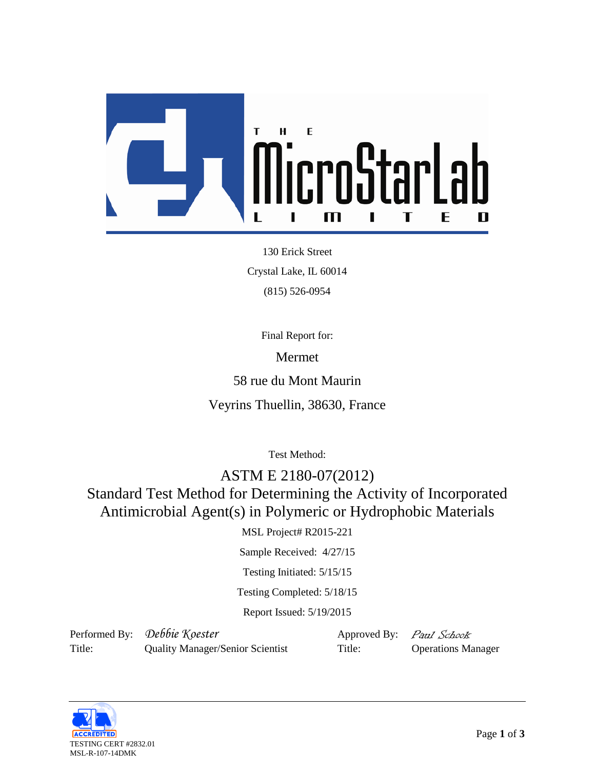

130 Erick Street Crystal Lake, IL 60014 (815) 526-0954

Final Report for:

Mermet

58 rue du Mont Maurin

Veyrins Thuellin, 38630, France

Test Method:

ASTM E 2180-07(2012) Standard Test Method for Determining the Activity of Incorporated Antimicrobial Agent(s) in Polymeric or Hydrophobic Materials

MSL Project# R2015-221

Sample Received: 4/27/15

Testing Initiated: 5/15/15

Testing Completed: 5/18/15

Report Issued: 5/19/2015

Performed By: Debbie Koester Approved By: Paul Schook Title: Quality Manager/Senior Scientist Title: Operations Manager

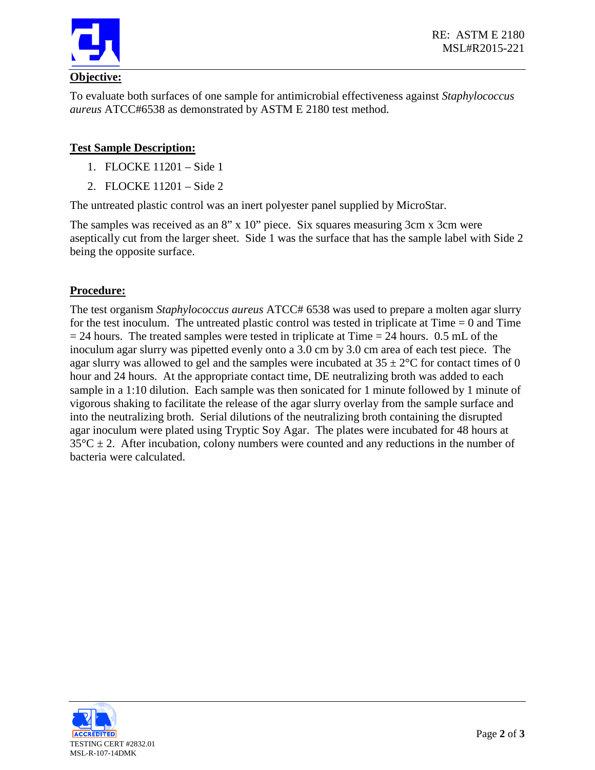

To evaluate both surfaces of one sample for antimicrobial effectiveness against *Staphylococcus aureus* ATCC#6538 as demonstrated by ASTM E 2180 test method.

## **Test Sample Description:**

- 1. FLOCKE 11201 Side 1
- 2. FLOCKE 11201 Side 2

The untreated plastic control was an inert polyester panel supplied by MicroStar.

The samples was received as an 8" x 10" piece. Six squares measuring 3cm x 3cm were aseptically cut from the larger sheet. Side 1 was the surface that has the sample label with Side 2 being the opposite surface.

## **Procedure:**

The test organism *Staphylococcus aureus* ATCC# 6538 was used to prepare a molten agar slurry for the test inoculum. The untreated plastic control was tested in triplicate at  $Time = 0$  and  $Time = 1$  $= 24$  hours. The treated samples were tested in triplicate at Time  $= 24$  hours. 0.5 mL of the inoculum agar slurry was pipetted evenly onto a 3.0 cm by 3.0 cm area of each test piece. The agar slurry was allowed to gel and the samples were incubated at  $35 \pm 2^{\circ}$ C for contact times of 0 hour and 24 hours. At the appropriate contact time, DE neutralizing broth was added to each sample in a 1:10 dilution. Each sample was then sonicated for 1 minute followed by 1 minute of vigorous shaking to facilitate the release of the agar slurry overlay from the sample surface and into the neutralizing broth. Serial dilutions of the neutralizing broth containing the disrupted agar inoculum were plated using Tryptic Soy Agar. The plates were incubated for 48 hours at  $35^{\circ}$ C  $\pm$  2. After incubation, colony numbers were counted and any reductions in the number of bacteria were calculated.